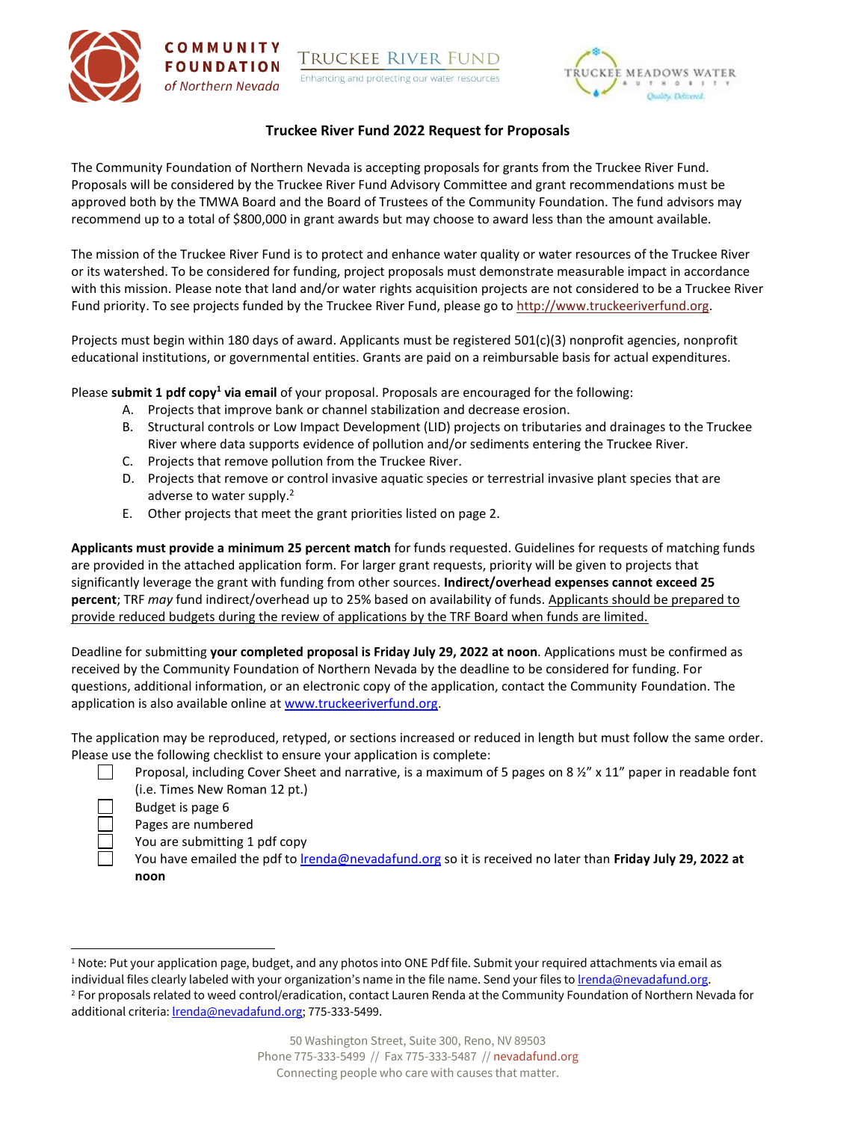

# **Truckee River Fund 2022 Request for Proposals**

The Community Foundation of Northern Nevada is accepting proposals for grants from the Truckee River Fund. Proposals will be considered by the Truckee River Fund Advisory Committee and grant recommendations must be approved both by the TMWA Board and the Board of Trustees of the Community Foundation. The fund advisors may recommend up to a total of \$800,000 in grant awards but may choose to award less than the amount available.

The mission of the Truckee River Fund is to protect and enhance water quality or water resources of the Truckee River or its watershed. To be considered for funding, project proposals must demonstrate measurable impact in accordance with this mission. Please note that land and/or water rights acquisition projects are not considered to be a Truckee River Fund priority. To see projects funded by the Truckee River Fund, please go to [http://www.truckeeriverfund.org.](http://www.truckeeriverfund.org/)

Projects must begin within 180 days of award. Applicants must be registered 501(c)(3) nonprofit agencies, nonprofit educational institutions, or governmental entities. Grants are paid on a reimbursable basis for actual expenditures.

Please **submit 1 pdf copy<sup>1</sup> via email** of your proposal. Proposals are encouraged for the following:

- A. Projects that improve bank or channel stabilization and decrease erosion.
- B. Structural controls or Low Impact Development (LID) projects on tributaries and drainages to the Truckee River where data supports evidence of pollution and/or sediments entering the Truckee River.
- C. Projects that remove pollution from the Truckee River.

COMMUNITY

**FOUNDATION** 

of Northern Nevada

- D. Projects that remove or control invasive aquatic species or terrestrial invasive plant species that are adverse to water supply.<sup>2</sup>
- E. Other projects that meet the grant priorities listed on page 2.

**Applicants must provide a minimum 25 percent match** for funds requested. Guidelines for requests of matching funds are provided in the attached application form. For larger grant requests, priority will be given to projects that significantly leverage the grant with funding from other sources. **Indirect/overhead expenses cannot exceed 25 percent**; TRF *may* fund indirect/overhead up to 25% based on availability of funds. Applicants should be prepared to provide reduced budgets during the review of applications by the TRF Board when funds are limited.

Deadline for submitting **your completed proposal is Friday July 29, 2022 at noon**. Applications must be confirmed as received by the Community Foundation of Northern Nevada by the deadline to be considered for funding. For questions, additional information, or an electronic copy of the application, contact the Community Foundation. The application is also available online at [www.truckeeriverfund.org.](http://www.truckeeriverfund.org/)

The application may be reproduced, retyped, or sections increased or reduced in length but must follow the same order. Please use the following checklist to ensure your application is complete:

Proposal, including Cover Sheet and narrative, is a maximum of 5 pages on 8  $\frac{1}{2}$ " x 11" paper in readable font (i.e. Times New Roman 12 pt.)

Budget is page 6

 $\perp$ 

Pages are numbered

You are submitting 1 pdf copy

You have emailed the pdf to [lrenda@nevadafund.org](mailto:lrenda@nevadafund.org) so it is received no later than **Friday July 29, 2022 at noon** 

<sup>&</sup>lt;sup>1</sup> Note: Put your application page, budget, and any photos into ONE Pdf file. Submit your required attachments via email as

individual files clearly labeled with your organization's name in the file name. Send your files to *lrenda@nevadafund.org*. <sup>2</sup> For proposals related to weed control/eradication, contact Lauren Renda at the Community Foundation of Northern Nevada for additional criteria: *lrenda@nevadafund.org*; 775-333-5499.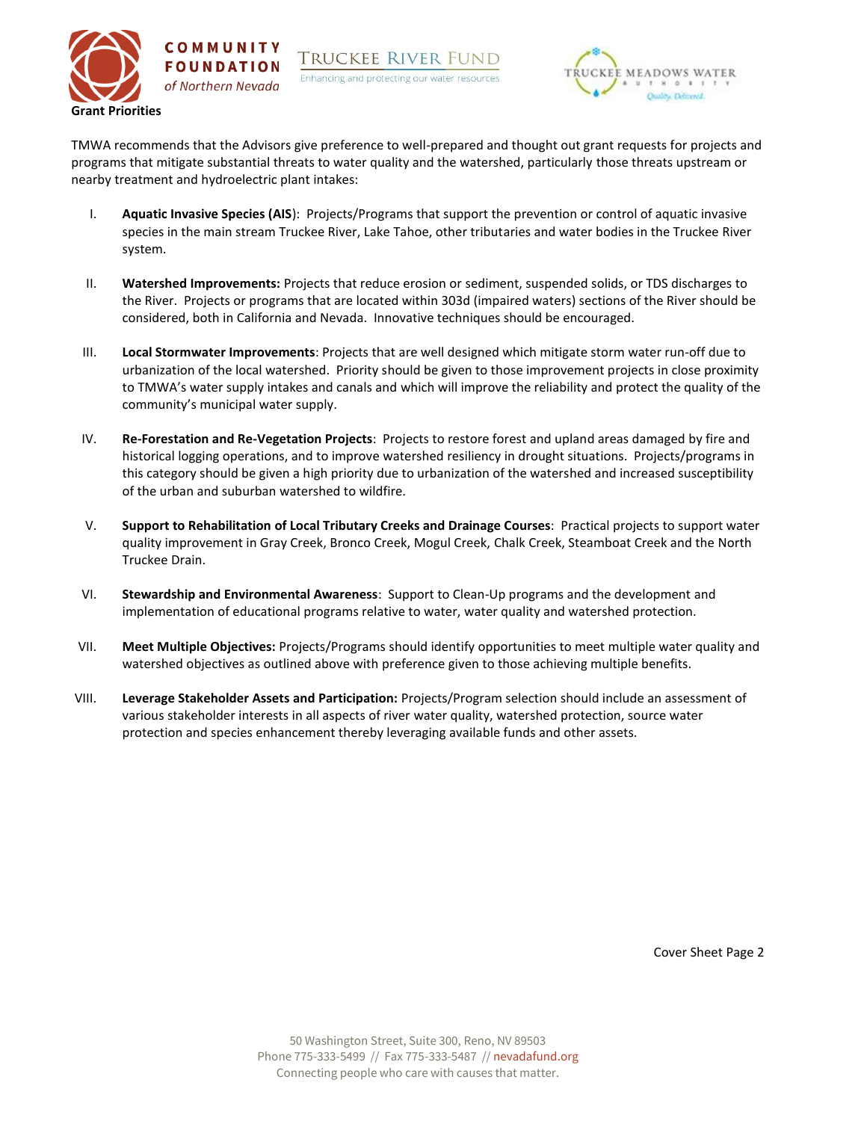



TMWA recommends that the Advisors give preference to well-prepared and thought out grant requests for projects and programs that mitigate substantial threats to water quality and the watershed, particularly those threats upstream or nearby treatment and hydroelectric plant intakes:

- I. **Aquatic Invasive Species (AIS**): Projects/Programs that support the prevention or control of aquatic invasive species in the main stream Truckee River, Lake Tahoe, other tributaries and water bodies in the Truckee River system.
- II. **Watershed Improvements:** Projects that reduce erosion or sediment, suspended solids, or TDS discharges to the River. Projects or programs that are located within 303d (impaired waters) sections of the River should be considered, both in California and Nevada. Innovative techniques should be encouraged.
- III. **Local Stormwater Improvements**: Projects that are well designed which mitigate storm water run-off due to urbanization of the local watershed. Priority should be given to those improvement projects in close proximity to TMWA's water supply intakes and canals and which will improve the reliability and protect the quality of the community's municipal water supply.
- IV. **Re-Forestation and Re-Vegetation Projects**: Projects to restore forest and upland areas damaged by fire and historical logging operations, and to improve watershed resiliency in drought situations. Projects/programs in this category should be given a high priority due to urbanization of the watershed and increased susceptibility of the urban and suburban watershed to wildfire.
- V. **Support to Rehabilitation of Local Tributary Creeks and Drainage Courses**: Practical projects to support water quality improvement in Gray Creek, Bronco Creek, Mogul Creek, Chalk Creek, Steamboat Creek and the North Truckee Drain.
- VI. **Stewardship and Environmental Awareness**: Support to Clean-Up programs and the development and implementation of educational programs relative to water, water quality and watershed protection.
- VII. **Meet Multiple Objectives:** Projects/Programs should identify opportunities to meet multiple water quality and watershed objectives as outlined above with preference given to those achieving multiple benefits.
- VIII. **Leverage Stakeholder Assets and Participation:** Projects/Program selection should include an assessment of various stakeholder interests in all aspects of river water quality, watershed protection, source water protection and species enhancement thereby leveraging available funds and other assets.

Cover Sheet Page 2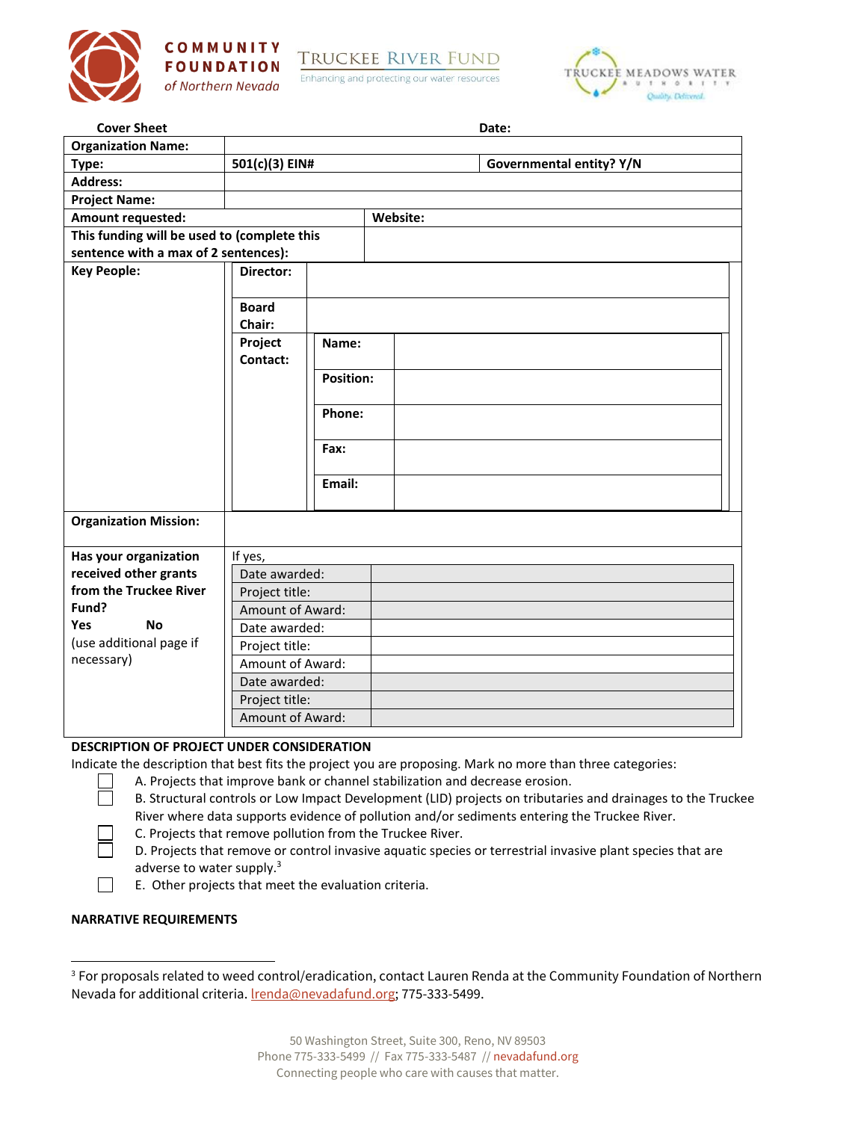



**TRUCKEE RIVER FUND** 

Enhancing and protecting our water resources



| <b>Cover Sheet</b>                              |                                    |                  |          | Date:                    |  |  |  |
|-------------------------------------------------|------------------------------------|------------------|----------|--------------------------|--|--|--|
| <b>Organization Name:</b>                       |                                    |                  |          |                          |  |  |  |
| Type:                                           | 501(c)(3) EIN#                     |                  |          | Governmental entity? Y/N |  |  |  |
| <b>Address:</b>                                 |                                    |                  |          |                          |  |  |  |
| <b>Project Name:</b>                            |                                    |                  |          |                          |  |  |  |
| Amount requested:                               |                                    |                  | Website: |                          |  |  |  |
| This funding will be used to (complete this     |                                    |                  |          |                          |  |  |  |
| sentence with a max of 2 sentences):            |                                    |                  |          |                          |  |  |  |
| <b>Key People:</b>                              | Director:                          |                  |          |                          |  |  |  |
|                                                 | <b>Board</b>                       |                  |          |                          |  |  |  |
|                                                 | Chair:                             |                  |          |                          |  |  |  |
|                                                 | Project<br>Contact:                | Name:            |          |                          |  |  |  |
|                                                 |                                    | <b>Position:</b> |          |                          |  |  |  |
|                                                 |                                    |                  |          |                          |  |  |  |
|                                                 |                                    | Phone:           |          |                          |  |  |  |
|                                                 |                                    | Fax:             |          |                          |  |  |  |
|                                                 |                                    |                  |          |                          |  |  |  |
|                                                 |                                    | Email:           |          |                          |  |  |  |
| <b>Organization Mission:</b>                    |                                    |                  |          |                          |  |  |  |
|                                                 |                                    |                  |          |                          |  |  |  |
| Has your organization                           | If yes,                            |                  |          |                          |  |  |  |
| received other grants<br>from the Truckee River | Date awarded:                      |                  |          |                          |  |  |  |
| Fund?                                           | Project title:                     |                  |          |                          |  |  |  |
| Yes<br><b>No</b>                                | Amount of Award:                   |                  |          |                          |  |  |  |
| (use additional page if                         | Date awarded:                      |                  |          |                          |  |  |  |
| necessary)                                      | Project title:                     |                  |          |                          |  |  |  |
|                                                 | Amount of Award:<br>Date awarded:  |                  |          |                          |  |  |  |
|                                                 |                                    |                  |          |                          |  |  |  |
|                                                 | Project title:<br>Amount of Award: |                  |          |                          |  |  |  |
|                                                 |                                    |                  |          |                          |  |  |  |

### **DESCRIPTION OF PROJECT UNDER CONSIDERATION**

Indicate the description that best fits the project you are proposing. Mark no more than three categories:

- A. Projects that improve bank or channel stabilization and decrease erosion.
	- B. Structural controls or Low Impact Development (LID) projects on tributaries and drainages to the Truckee River where data supports evidence of pollution and/or sediments entering the Truckee River.
	- C. Projects that remove pollution from the Truckee River.
	- D. Projects that remove or control invasive aquatic species or terrestrial invasive plant species that are adverse to water supply.<sup>3</sup>
- $\Box$ E. Other projects that meet the evaluation criteria.

#### **NARRATIVE REQUIREMENTS**

П

<sup>&</sup>lt;sup>3</sup> For proposals related to weed control/eradication, contact Lauren Renda at the Community Foundation of Northern Nevada for additional criteria. **Irenda@nevadafund.org**; 775-333-5499.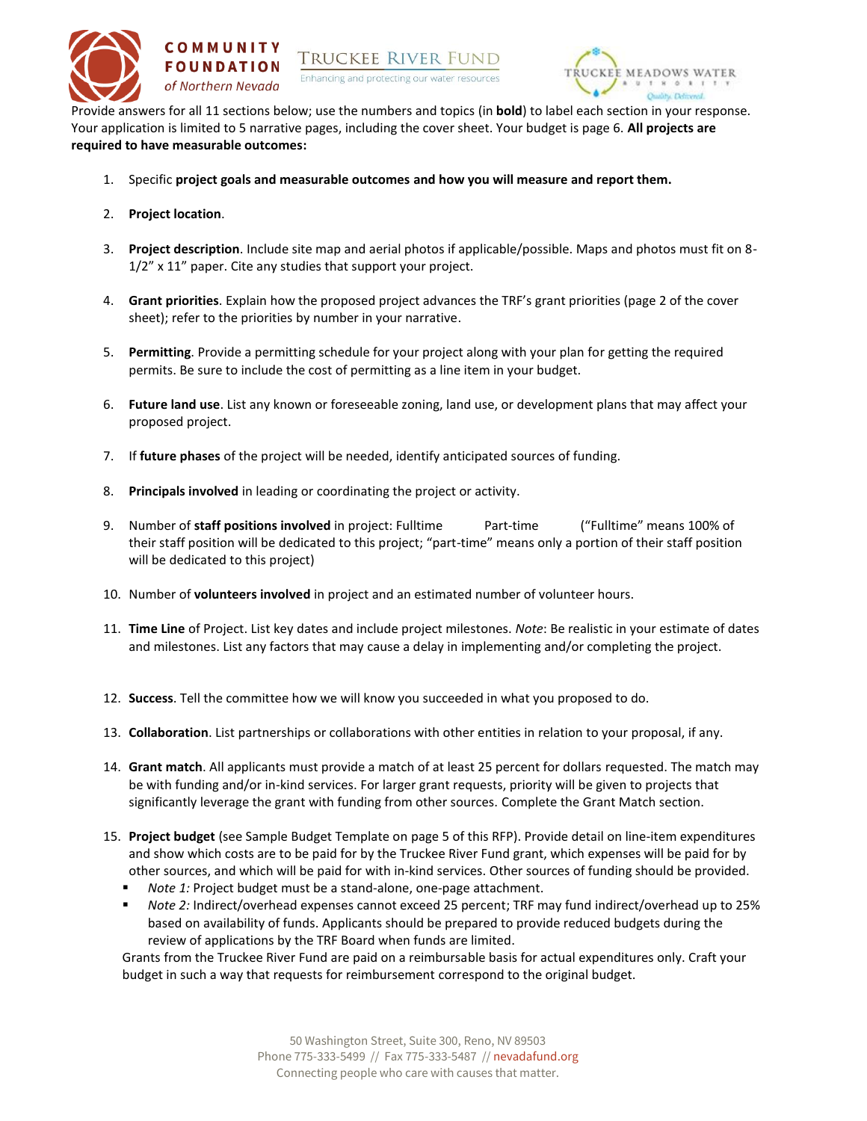



Provide answers for all 11 sections below; use the numbers and topics (in **bold**) to label each section in your response. Your application is limited to 5 narrative pages, including the cover sheet. Your budget is page 6. **All projects are required to have measurable outcomes:**

- 1. Specific **project goals and measurable outcomes and how you will measure and report them.**
- 2. **Project location**.
- 3. **Project description**. Include site map and aerial photos if applicable/possible. Maps and photos must fit on 8- 1/2" x 11" paper. Cite any studies that support your project.
- 4. **Grant priorities**. Explain how the proposed project advances the TRF's grant priorities (page 2 of the cover sheet); refer to the priorities by number in your narrative.
- 5. **Permitting**. Provide a permitting schedule for your project along with your plan for getting the required permits. Be sure to include the cost of permitting as a line item in your budget.
- 6. **Future land use**. List any known or foreseeable zoning, land use, or development plans that may affect your proposed project.
- 7. If **future phases** of the project will be needed, identify anticipated sources of funding.
- 8. **Principals involved** in leading or coordinating the project or activity.
- 9. Number of **staff positions involved** in project: Fulltime Part-time ("Fulltime" means 100% of their staff position will be dedicated to this project; "part-time" means only a portion of their staff position will be dedicated to this project)
- 10. Number of **volunteers involved** in project and an estimated number of volunteer hours.
- 11. **Time Line** of Project. List key dates and include project milestones. *Note*: Be realistic in your estimate of dates and milestones. List any factors that may cause a delay in implementing and/or completing the project.
- 12. **Success**. Tell the committee how we will know you succeeded in what you proposed to do.
- 13. **Collaboration**. List partnerships or collaborations with other entities in relation to your proposal, if any.
- 14. **Grant match**. All applicants must provide a match of at least 25 percent for dollars requested. The match may be with funding and/or in-kind services. For larger grant requests, priority will be given to projects that significantly leverage the grant with funding from other sources. Complete the Grant Match section.
- 15. **Project budget** (see Sample Budget Template on page 5 of this RFP). Provide detail on line-item expenditures and show which costs are to be paid for by the Truckee River Fund grant, which expenses will be paid for by other sources, and which will be paid for with in-kind services. Other sources of funding should be provided.
	- Note 1: Project budget must be a stand-alone, one-page attachment.
	- *Note 2:* Indirect/overhead expenses cannot exceed 25 percent; TRF may fund indirect/overhead up to 25% based on availability of funds. Applicants should be prepared to provide reduced budgets during the review of applications by the TRF Board when funds are limited.

Grants from the Truckee River Fund are paid on a reimbursable basis for actual expenditures only. Craft your budget in such a way that requests for reimbursement correspond to the original budget.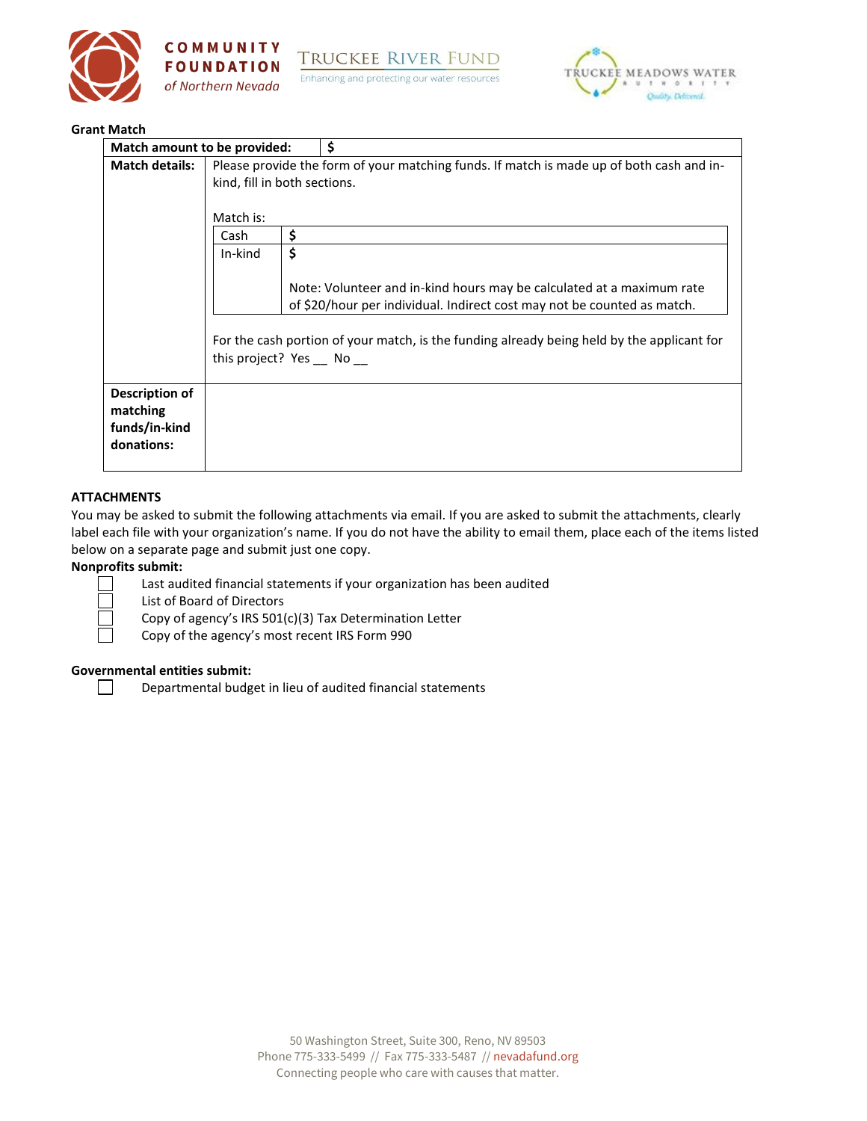



**TRUCKEE RIVER FUND** Enhancing and protecting our water resources



#### **Grant Match**

| Match amount to be provided:                              |                                                                                                                          |    |                                                                                                                                                  |  |  |  |  |
|-----------------------------------------------------------|--------------------------------------------------------------------------------------------------------------------------|----|--------------------------------------------------------------------------------------------------------------------------------------------------|--|--|--|--|
| <b>Match details:</b>                                     | Please provide the form of your matching funds. If match is made up of both cash and in-<br>kind, fill in both sections. |    |                                                                                                                                                  |  |  |  |  |
|                                                           | Match is:<br>\$<br>Cash                                                                                                  |    |                                                                                                                                                  |  |  |  |  |
|                                                           | In-kind                                                                                                                  | \$ |                                                                                                                                                  |  |  |  |  |
|                                                           |                                                                                                                          |    | Note: Volunteer and in-kind hours may be calculated at a maximum rate<br>of \$20/hour per individual. Indirect cost may not be counted as match. |  |  |  |  |
|                                                           | For the cash portion of your match, is the funding already being held by the applicant for<br>this project? Yes No       |    |                                                                                                                                                  |  |  |  |  |
| Description of<br>matching<br>funds/in-kind<br>donations: |                                                                                                                          |    |                                                                                                                                                  |  |  |  |  |

### **ATTACHMENTS**

You may be asked to submit the following attachments via email. If you are asked to submit the attachments, clearly label each file with your organization's name. If you do not have the ability to email them, place each of the items listed below on a separate page and submit just one copy.

## **Nonprofits submit:**

 $\Box$ 

 $\perp$ 

Last audited financial statements if your organization has been audited

List of Board of Directors

Copy of agency's IRS 501(c)(3) Tax Determination Letter

Copy of the agency's most recent IRS Form 990

#### **Governmental entities submit:**

Departmental budget in lieu of audited financial statements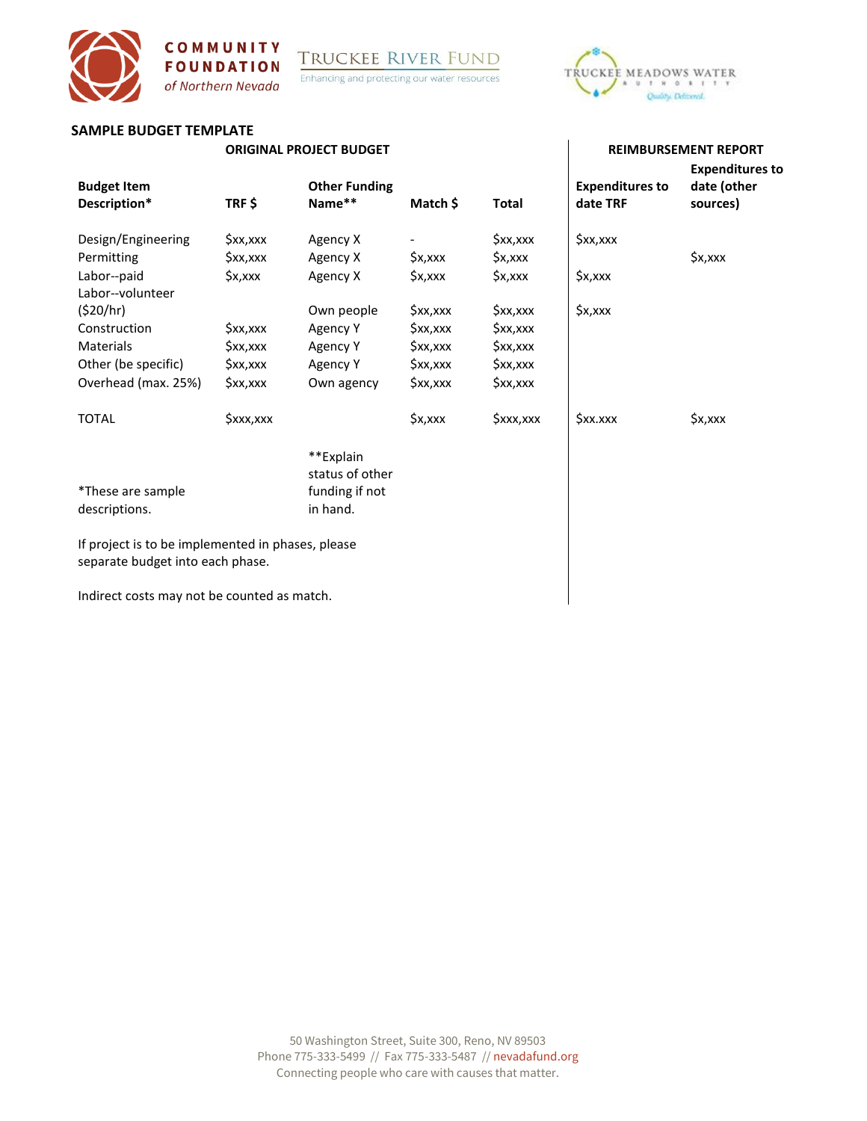Enhancing and protecting our water resources



## **SAMPLE BUDGET TEMPLATE**

COMMUNITY

**FOUNDATION** 

of Northern Nevada

#### **ORIGINAL PROJECT BUDGET REIMBURSEMENT REPORT**

| <b>Budget Item</b><br>Description*                                                    | TRF\$      | <b>Other Funding</b><br>Name** | Match \$   | <b>Total</b> | <b>Expenditures to</b><br>date TRF | <b>Expenditures to</b><br>date (other<br>sources) |
|---------------------------------------------------------------------------------------|------------|--------------------------------|------------|--------------|------------------------------------|---------------------------------------------------|
| Design/Engineering                                                                    | \$xx,xxx   | Agency X                       |            | \$xx,xxx     | \$xx,xxx                           |                                                   |
| Permitting                                                                            | \$xx,xxx   | Agency X                       | \$x,xxx    | \$x,xxx      |                                    | \$x,xxx                                           |
| Labor--paid                                                                           | \$x,xxx    | Agency X                       | \$x,xxx    | \$x,xxx      | \$x,xxx                            |                                                   |
| Labor--volunteer                                                                      |            |                                |            |              |                                    |                                                   |
| (\$20/hr)                                                                             |            | Own people                     | \$xx,xxx   | \$xx,xxx     | \$x,xxx                            |                                                   |
| Construction                                                                          | \$xx,xxx   | Agency Y                       | \$xx,xxx   | \$xx,xxx     |                                    |                                                   |
| <b>Materials</b>                                                                      | \$xx,xxx   | Agency Y                       | \$xx,xxx   | \$xx,xxx     |                                    |                                                   |
| Other (be specific)                                                                   | \$xx,xxx   | Agency Y                       | $Sxx,$ xxx | \$xx,xxx     |                                    |                                                   |
| Overhead (max. 25%)                                                                   | $Sxx,$ xxx | Own agency                     | \$xx,xxx   | \$xx,xxx     |                                    |                                                   |
| <b>TOTAL</b>                                                                          | \$xxx,xxx  |                                | \$x,xxx    | \$xxx,xxx    | \$xx.xxx                           | \$x,xxx                                           |
|                                                                                       |            | **Explain<br>status of other   |            |              |                                    |                                                   |
| *These are sample<br>descriptions.                                                    |            | funding if not<br>in hand.     |            |              |                                    |                                                   |
| If project is to be implemented in phases, please<br>separate budget into each phase. |            |                                |            |              |                                    |                                                   |
| Indirect costs may not be counted as match.                                           |            |                                |            |              |                                    |                                                   |

Indirect costs may not be counted as match.